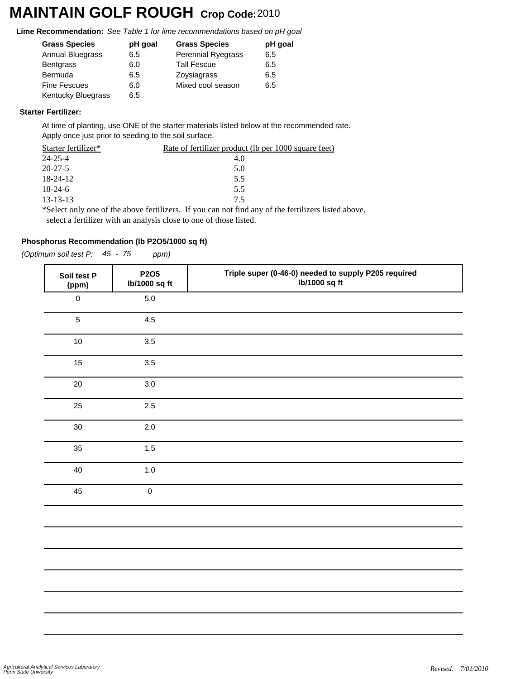# **MAINTAIN GOLF ROUGH Crop Code:**<sup>2010</sup>

**Lime Recommendation:** *See Table 1 for lime recommendations based on pH goal*

| <b>Grass Species</b>      | pH goal | <b>Grass Species</b> | pH goal |
|---------------------------|---------|----------------------|---------|
| <b>Annual Bluegrass</b>   | 6.5     | Perennial Ryegrass   | 6.5     |
| Bentgrass                 | 6.0     | <b>Tall Fescue</b>   | 6.5     |
| Bermuda                   | 6.5     | Zoysiagrass          | 6.5     |
| <b>Fine Fescues</b>       | 6.0     | Mixed cool season    | 6.5     |
| <b>Kentucky Bluegrass</b> | 6.5     |                      |         |

### **Starter Fertilizer:**

At time of planting, use ONE of the starter materials listed below at the recommended rate. Apply once just prior to seeding to the soil surface.

| Starter fertilizer* | <u>Rate of fertilizer product (lb per 1000 square feet)</u>                                               |
|---------------------|-----------------------------------------------------------------------------------------------------------|
| 24-25-4             | 4.0                                                                                                       |
| $20 - 27 - 5$       | 5.0                                                                                                       |
| 18-24-12            | 5.5                                                                                                       |
| $18-24-6$           | 5.5                                                                                                       |
| 13-13-13            | 75                                                                                                        |
|                     | $\ast$ Select only one of the above fertilizers. If you can not find any of the fertilizers listed above. |

Select only one of the above fertilizers. If you can not find any of the fertilizers listed above, select a fertilizer with an analysis close to one of those listed.

### **Phosphorus Recommendation (lb P2O5/1000 sq ft)**

*(Optimum soil test P: 45 - 75 ppm)*

| Soil test P<br>(ppm) | <b>P2O5</b><br>lb/1000 sq ft | Triple super (0-46-0) needed to supply P205 required<br>lb/1000 sq ft |
|----------------------|------------------------------|-----------------------------------------------------------------------|
| $\boldsymbol{0}$     | $5.0\,$                      |                                                                       |
| 5                    | 4.5                          |                                                                       |
| 10                   | 3.5                          |                                                                       |
| 15                   | 3.5                          |                                                                       |
| 20                   | 3.0                          |                                                                       |
| 25                   | 2.5                          |                                                                       |
| 30                   | 2.0                          |                                                                       |
| 35                   | 1.5                          |                                                                       |
| 40                   | $1.0$                        |                                                                       |
| 45                   | $\pmb{0}$                    |                                                                       |
|                      |                              |                                                                       |